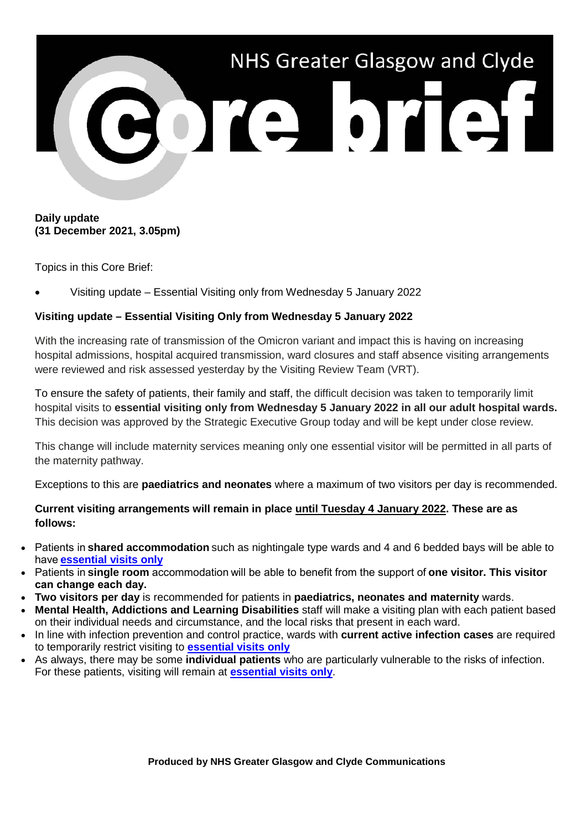

#### **Daily update (31 December 2021, 3.05pm)**

Topics in this Core Brief:

• Visiting update – Essential Visiting only from Wednesday 5 January 2022

### **Visiting update – Essential Visiting Only from Wednesday 5 January 2022**

With the increasing rate of transmission of the Omicron variant and impact this is having on increasing hospital admissions, hospital acquired transmission, ward closures and staff absence visiting arrangements were reviewed and risk assessed yesterday by the Visiting Review Team (VRT).

To ensure the safety of patients, their family and staff, the difficult decision was taken to temporarily limit hospital visits to **essential visiting only from Wednesday 5 January 2022 in all our adult hospital wards.**  This decision was approved by the Strategic Executive Group today and will be kept under close review.

This change will include maternity services meaning only one essential visitor will be permitted in all parts of the maternity pathway.

Exceptions to this are **paediatrics and neonates** where a maximum of two visitors per day is recommended.

### **Current visiting arrangements will remain in place until Tuesday 4 January 2022. These are as follows:**

- Patients in **shared accommodation** such as nightingale type wards and 4 and 6 bedded bays will be able to have **[essential visits only](https://nhsggc.us17.list-manage.com/track/click?u=b7ac936bf5561a5e727ef20dd&id=7027d2e9a9&e=2b182cc329)**
- Patients in **single room** accommodation will be able to benefit from the support of **one visitor. This visitor can change each day.**
- **Two visitors per day** is recommended for patients in **paediatrics, neonates and maternity** wards.
- **Mental Health, Addictions and Learning Disabilities** staff will make a visiting plan with each patient based on their individual needs and circumstance, and the local risks that present in each ward.
- In line with infection prevention and control practice, wards with **current active infection cases** are required to temporarily restrict visiting to **[essential visits only](https://nhsggc.us17.list-manage.com/track/click?u=b7ac936bf5561a5e727ef20dd&id=7027d2e9a9&e=2b182cc329)**
- As always, there may be some **individual patients** who are particularly vulnerable to the risks of infection. For these patients, visiting will remain at **[essential visits only](https://nhsggc.us17.list-manage.com/track/click?u=b7ac936bf5561a5e727ef20dd&id=7027d2e9a9&e=2b182cc329)**.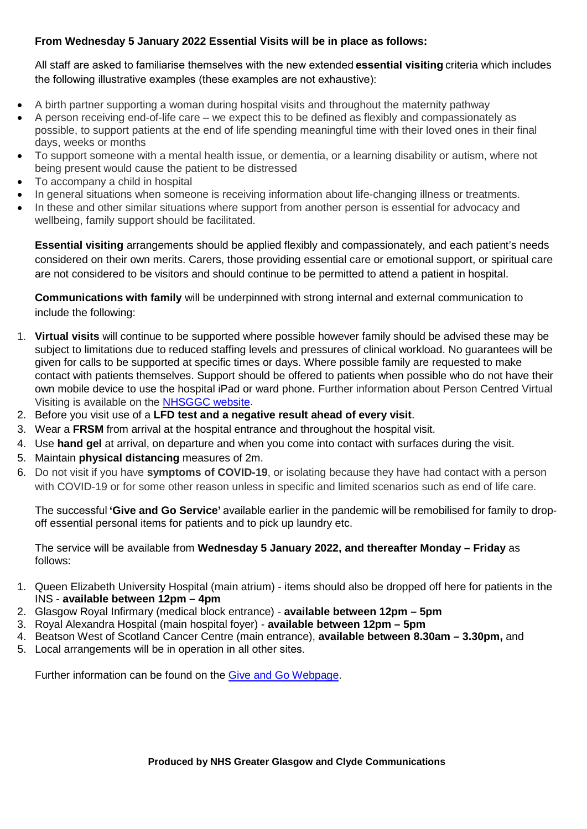# **From Wednesday 5 January 2022 Essential Visits will be in place as follows:**

All staff are asked to familiarise themselves with the new extended **essential visiting**criteria which includes the following illustrative examples (these examples are not exhaustive):  

- A birth partner supporting a woman during hospital visits and throughout the maternity pathway
- A person receiving end-of-life care we expect this to be defined as flexibly and compassionately as possible, to support patients at the end of life spending meaningful time with their loved ones in their final days, weeks or months
- To support someone with a mental health issue, or dementia, or a learning disability or autism, where not being present would cause the patient to be distressed
- To accompany a child in hospital
- In general situations when someone is receiving information about life-changing illness or treatments.
- In these and other similar situations where support from another person is essential for advocacy and wellbeing, family support should be facilitated.

**Essential visiting** arrangements should be applied flexibly and compassionately, and each patient's needs considered on their own merits. Carers, those providing essential care or emotional support, or spiritual care are not considered to be visitors and should continue to be permitted to attend a patient in hospital.

**Communications with family** will be underpinned with strong internal and external communication to include the following:

- 1. **Virtual visits** will continue to be supported where possible however family should be advised these may be subject to limitations due to reduced staffing levels and pressures of clinical workload. No guarantees will be given for calls to be supported at specific times or days. Where possible family are requested to make contact with patients themselves. Support should be offered to patients when possible who do not have their own mobile device to use the hospital iPad or ward phone. Further information about Person Centred Virtual Visiting is available on the [NHSGGC website.](https://www.nhsggc.org.uk/patients-and-visitors/person-centred-visiting/person-centred-virtual-visiting/)
- 2. Before you visit use of a **LFD test and a negative result ahead of every visit**.
- 3. Wear a **FRSM** from arrival at the hospital entrance and throughout the hospital visit.
- 4. Use **hand gel** at arrival, on departure and when you come into contact with surfaces during the visit.
- 5. Maintain **physical distancing** measures of 2m.
- 6. Do not visit if you have **symptoms of COVID-19**, or isolating because they have had contact with a person with COVID-19 or for some other reason unless in specific and limited scenarios such as end of life care.

The successful **'Give and Go Service'** available earlier in the pandemic will be remobilised for family to dropoff essential personal items for patients and to pick up laundry etc.

The service will be available from **Wednesday 5 January 2022, and thereafter Monday – Friday** as follows:

- 1. Queen Elizabeth University Hospital (main atrium) items should also be dropped off here for patients in the INS - **available between 12pm – 4pm**
- 2. Glasgow Royal Infirmary (medical block entrance) **available between 12pm – 5pm**
- 3. Royal Alexandra Hospital (main hospital foyer) **available between 12pm – 5pm**
- 4. Beatson West of Scotland Cancer Centre (main entrance), **available between 8.30am – 3.30pm,** and
- 5. Local arrangements will be in operation in all other sites.

Further information can be found on the Give and Go [Webpage.](https://www.nhsggc.org.uk/your-health/health-issues/covid-19-coronavirus/for-patients-the-public/patients-hospital-appointments-visiting/give-go/)